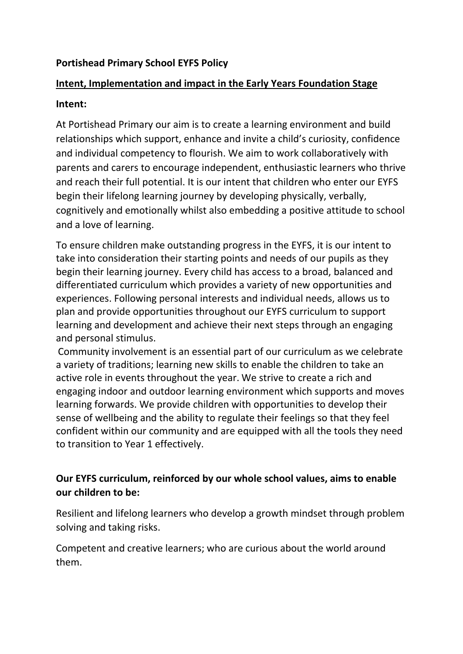### **Portishead Primary School EYFS Policy**

# **Intent, Implementation and impact in the Early Years Foundation Stage**

#### **Intent:**

At Portishead Primary our aim is to create a learning environment and build relationships which support, enhance and invite a child's curiosity, confidence and individual competency to flourish. We aim to work collaboratively with parents and carers to encourage independent, enthusiastic learners who thrive and reach their full potential. It is our intent that children who enter our EYFS begin their lifelong learning journey by developing physically, verbally, cognitively and emotionally whilst also embedding a positive attitude to school and a love of learning.

To ensure children make outstanding progress in the EYFS, it is our intent to take into consideration their starting points and needs of our pupils as they begin their learning journey. Every child has access to a broad, balanced and differentiated curriculum which provides a variety of new opportunities and experiences. Following personal interests and individual needs, allows us to plan and provide opportunities throughout our EYFS curriculum to support learning and development and achieve their next steps through an engaging and personal stimulus.

Community involvement is an essential part of our curriculum as we celebrate a variety of traditions; learning new skills to enable the children to take an active role in events throughout the year. We strive to create a rich and engaging indoor and outdoor learning environment which supports and moves learning forwards. We provide children with opportunities to develop their sense of wellbeing and the ability to regulate their feelings so that they feel confident within our community and are equipped with all the tools they need to transition to Year 1 effectively.

## **Our EYFS curriculum, reinforced by our whole school values, aims to enable our children to be:**

Resilient and lifelong learners who develop a growth mindset through problem solving and taking risks.

Competent and creative learners; who are curious about the world around them.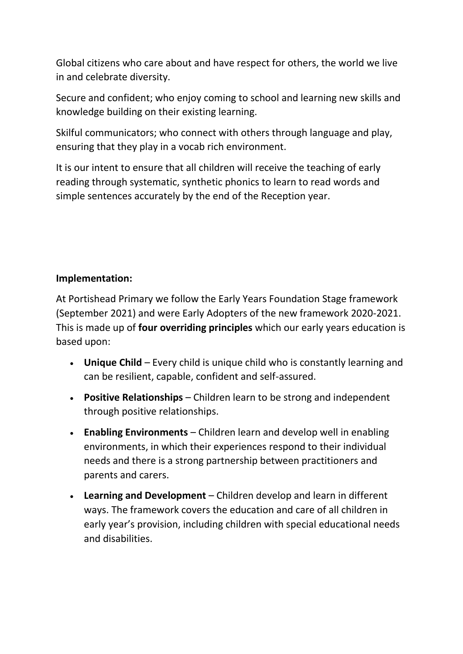Global citizens who care about and have respect for others, the world we live in and celebrate diversity.

Secure and confident; who enjoy coming to school and learning new skills and knowledge building on their existing learning.

Skilful communicators; who connect with others through language and play, ensuring that they play in a vocab rich environment.

It is our intent to ensure that all children will receive the teaching of early reading through systematic, synthetic phonics to learn to read words and simple sentences accurately by the end of the Reception year.

### **Implementation:**

At Portishead Primary we follow the Early Years Foundation Stage framework (September 2021) and were Early Adopters of the new framework 2020-2021. This is made up of **four overriding principles** which our early years education is based upon:

- **Unique Child** Every child is unique child who is constantly learning and can be resilient, capable, confident and self-assured.
- **Positive Relationships** Children learn to be strong and independent through positive relationships.
- **Enabling Environments** Children learn and develop well in enabling environments, in which their experiences respond to their individual needs and there is a strong partnership between practitioners and parents and carers.
- **Learning and Development** Children develop and learn in different ways. The framework covers the education and care of all children in early year's provision, including children with special educational needs and disabilities.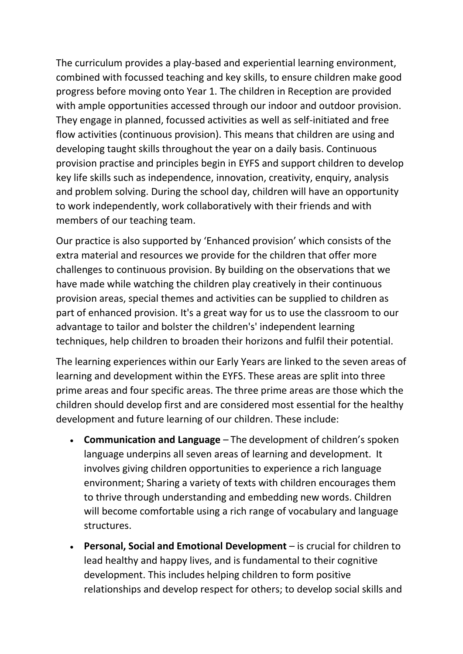The curriculum provides a play-based and experiential learning environment, combined with focussed teaching and key skills, to ensure children make good progress before moving onto Year 1. The children in Reception are provided with ample opportunities accessed through our indoor and outdoor provision. They engage in planned, focussed activities as well as self-initiated and free flow activities (continuous provision). This means that children are using and developing taught skills throughout the year on a daily basis. Continuous provision practise and principles begin in EYFS and support children to develop key life skills such as independence, innovation, creativity, enquiry, analysis and problem solving. During the school day, children will have an opportunity to work independently, work collaboratively with their friends and with members of our teaching team.

Our practice is also supported by 'Enhanced provision' which consists of the extra material and resources we provide for the children that offer more challenges to [continuous provision.](https://www.twinkl.co.uk/teaching-wiki/continuous-provision) By building on the observations that we have made while watching the children play creatively in their continuous provision areas, special themes and activities can be supplied to children as part of enhanced provision. It's a great way for us to use the classroom to our advantage to tailor and bolster the children's' independent learning techniques, help children to broaden their horizons and fulfil their potential.

The learning experiences within our Early Years are linked to the seven areas of learning and development within the EYFS. These areas are split into three prime areas and four specific areas. The three prime areas are those which the children should develop first and are considered most essential for the healthy development and future learning of our children. These include:

- **Communication and Language** The development of children's spoken language underpins all seven areas of learning and development. It involves giving children opportunities to experience a rich language environment; Sharing a variety of texts with children encourages them to thrive through understanding and embedding new words. Children will become comfortable using a rich range of vocabulary and language structures.
- **Personal, Social and Emotional Development** is crucial for children to lead healthy and happy lives, and is fundamental to their cognitive development. This includes helping children to form positive relationships and develop respect for others; to develop social skills and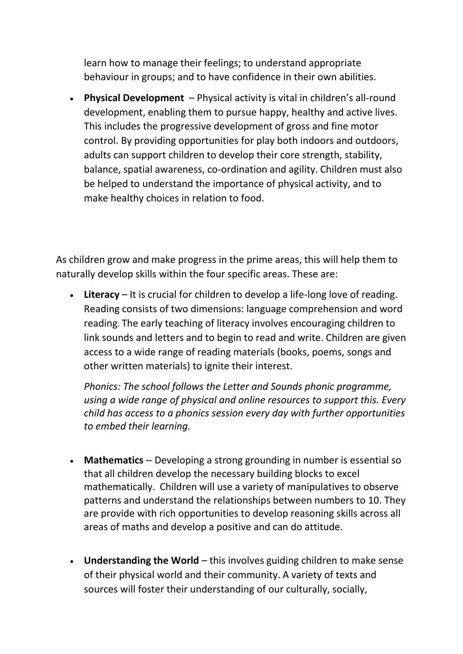learn how to manage their feelings; to understand appropriate behaviour in groups; and to have confidence in their own abilities.

• **Physical Development** – Physical activity is vital in children's all-round development, enabling them to pursue happy, healthy and active lives. This includes the progressive development of gross and fine motor control. By providing opportunities for play both indoors and outdoors, adults can support children to develop their core strength, stability, balance, spatial awareness, co-ordination and agility. Children must also be helped to understand the importance of physical activity, and to make healthy choices in relation to food.

As children grow and make progress in the prime areas, this will help them to naturally develop skills within the four specific areas. These are:

• **Literacy** – It is crucial for children to develop a life-long love of reading. Reading consists of two dimensions: language comprehension and word reading. The early teaching of literacy involves encouraging children to link sounds and letters and to begin to read and write. Children are given access to a wide range of reading materials (books, poems, songs and other written materials) to ignite their interest.

*Phonics: The school follows the Letter and Sounds phonic programme, using a wide range of physical and online resources to support this. Every child has access to a phonics session every day with further opportunities to embed their learning.*

- **Mathematics** Developing a strong grounding in number is essential so that all children develop the necessary building blocks to excel mathematically. Children will use a variety of manipulatives to observe patterns and understand the relationships between numbers to 10. They are provide with rich opportunities to develop reasoning skills across all areas of maths and develop a positive and can do attitude.
- **Understanding the World** this involves guiding children to make sense of their physical world and their community. A variety of texts and sources will foster their understanding of our culturally, socially,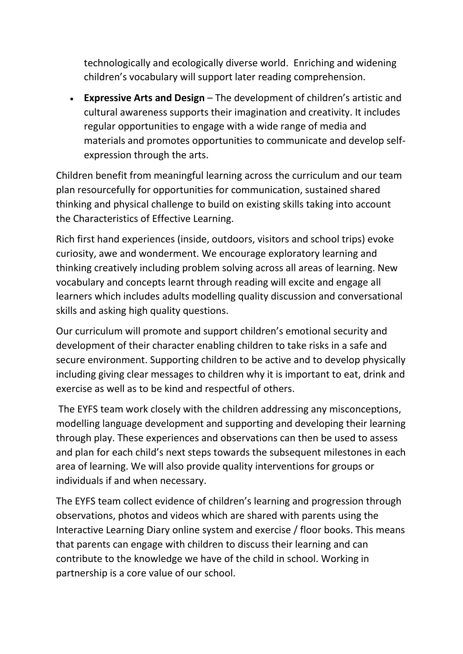technologically and ecologically diverse world. Enriching and widening children's vocabulary will support later reading comprehension.

• **Expressive Arts and Design** – The development of children's artistic and cultural awareness supports their imagination and creativity. It includes regular opportunities to engage with a wide range of media and materials and promotes opportunities to communicate and develop selfexpression through the arts.

Children benefit from meaningful learning across the curriculum and our team plan resourcefully for opportunities for communication, sustained shared thinking and physical challenge to build on existing skills taking into account the Characteristics of Effective Learning.

Rich first hand experiences (inside, outdoors, visitors and school trips) evoke curiosity, awe and wonderment. We encourage exploratory learning and thinking creatively including problem solving across all areas of learning. New vocabulary and concepts learnt through reading will excite and engage all learners which includes adults modelling quality discussion and conversational skills and asking high quality questions.

Our curriculum will promote and support children's emotional security and development of their character enabling children to take risks in a safe and secure environment. Supporting children to be active and to develop physically including giving clear messages to children why it is important to eat, drink and exercise as well as to be kind and respectful of others.

The EYFS team work closely with the children addressing any misconceptions, modelling language development and supporting and developing their learning through play. These experiences and observations can then be used to assess and plan for each child's next steps towards the subsequent milestones in each area of learning. We will also provide quality interventions for groups or individuals if and when necessary.

The EYFS team collect evidence of children's learning and progression through observations, photos and videos which are shared with parents using the Interactive Learning Diary online system and exercise / floor books. This means that parents can engage with children to discuss their learning and can contribute to the knowledge we have of the child in school. Working in partnership is a core value of our school.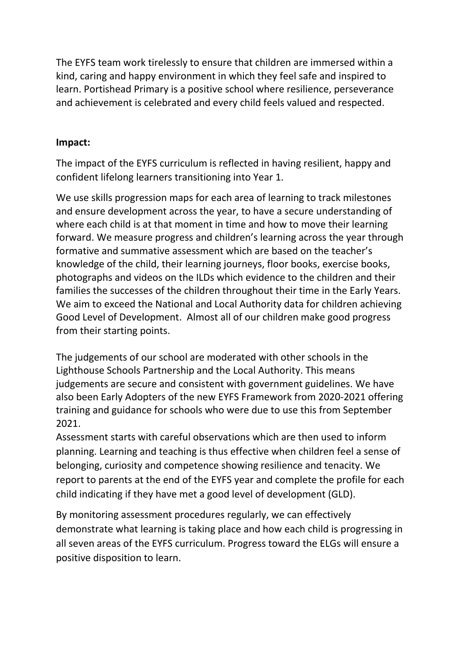The EYFS team work tirelessly to ensure that children are immersed within a kind, caring and happy environment in which they feel safe and inspired to learn. Portishead Primary is a positive school where resilience, perseverance and achievement is celebrated and every child feels valued and respected.

#### **Impact:**

The impact of the EYFS curriculum is reflected in having resilient, happy and confident lifelong learners transitioning into Year 1.

We use skills progression maps for each area of learning to track milestones and ensure development across the year, to have a secure understanding of where each child is at that moment in time and how to move their learning forward. We measure progress and children's learning across the year through formative and summative assessment which are based on the teacher's knowledge of the child, their learning journeys, floor books, exercise books, photographs and videos on the ILDs which evidence to the children and their families the successes of the children throughout their time in the Early Years. We aim to exceed the National and Local Authority data for children achieving Good Level of Development. Almost all of our children make good progress from their starting points.

The judgements of our school are moderated with other schools in the Lighthouse Schools Partnership and the Local Authority. This means judgements are secure and consistent with government guidelines. We have also been Early Adopters of the new EYFS Framework from 2020-2021 offering training and guidance for schools who were due to use this from September 2021.

Assessment starts with careful observations which are then used to inform planning. Learning and teaching is thus effective when children feel a sense of belonging, curiosity and competence showing resilience and tenacity. We report to parents at the end of the EYFS year and complete the profile for each child indicating if they have met a good level of development (GLD).

By monitoring assessment procedures regularly, we can effectively demonstrate what learning is taking place and how each child is progressing in all seven areas of the EYFS curriculum. Progress toward the ELGs will ensure a positive disposition to learn.